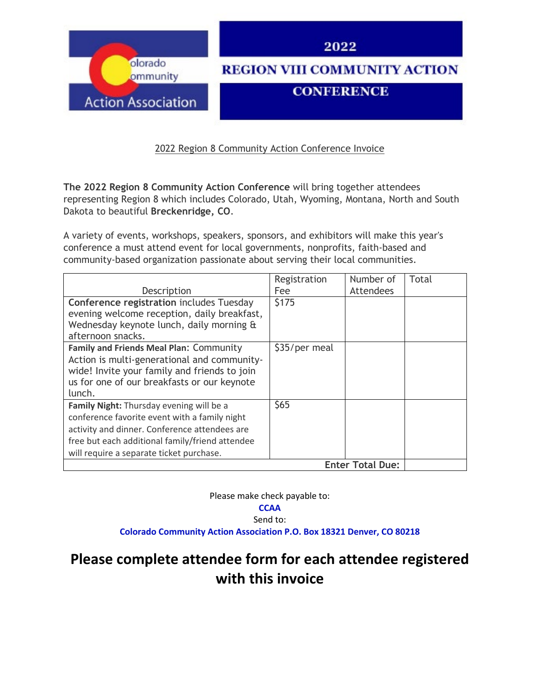

2022 Region 8 Community Action Conference Invoice

**The 2022 Region 8 Community Action Conference** will bring together attendees representing Region 8 which includes Colorado, Utah, Wyoming, Montana, North and South Dakota to beautiful **Breckenridge, CO**.

A variety of events, workshops, speakers, sponsors, and exhibitors will make this year's conference a must attend event for local governments, nonprofits, faith-based and community-based organization passionate about serving their local communities.

| Description                                                                                                                                                                                                                               | Registration<br>Fee | Number of<br>Attendees  | Total |
|-------------------------------------------------------------------------------------------------------------------------------------------------------------------------------------------------------------------------------------------|---------------------|-------------------------|-------|
| <b>Conference registration includes Tuesday</b><br>evening welcome reception, daily breakfast,                                                                                                                                            | \$175               |                         |       |
| Wednesday keynote lunch, daily morning &<br>afternoon snacks.                                                                                                                                                                             |                     |                         |       |
| Family and Friends Meal Plan: Community<br>Action is multi-generational and community-<br>wide! Invite your family and friends to join<br>us for one of our breakfasts or our keynote<br>lunch.                                           | \$35/per meal       |                         |       |
| Family Night: Thursday evening will be a<br>conference favorite event with a family night<br>activity and dinner. Conference attendees are<br>free but each additional family/friend attendee<br>will require a separate ticket purchase. | \$65                |                         |       |
|                                                                                                                                                                                                                                           |                     | <b>Enter Total Due:</b> |       |

Please make check payable to:

## **CCAA**

Send to:

**Colorado Community Action Association P.O. Box 18321 Denver, CO 80218**

## **Please complete attendee form for each attendee registered with this invoice**